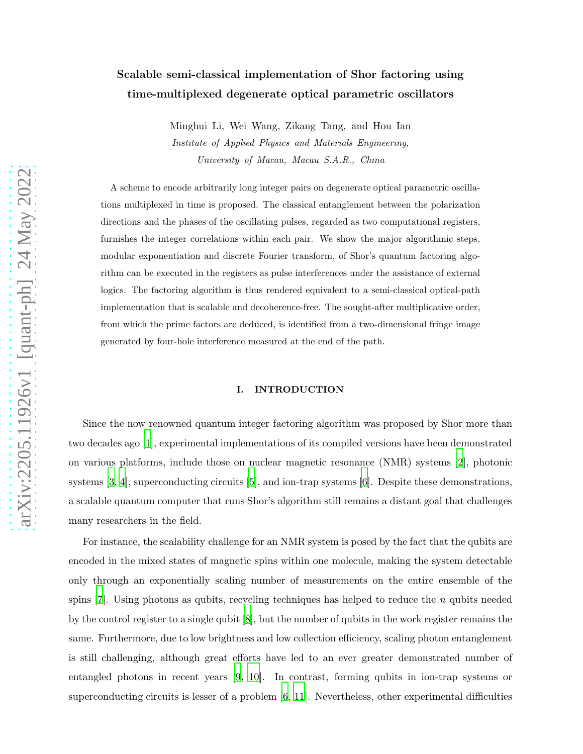# Scalable semi-classical implementation of Shor factoring using time-multiplexed degenerate optical parametric oscillators

Minghui Li, Wei Wang, Zikang Tang, and Hou Ian Institute of Applied Physics and Materials Engineering, University of Macau, Macau S.A.R., China

A scheme to encode arbitrarily long integer pairs on degenerate optical parametric oscillations multiplexed in time is proposed. The classical entanglement between the polarization directions and the phases of the oscillating pulses, regarded as two computational registers, furnishes the integer correlations within each pair. We show the major algorithmic steps, modular exponentiation and discrete Fourier transform, of Shor's quantum factoring algorithm can be executed in the registers as pulse interferences under the assistance of external logics. The factoring algorithm is thus rendered equivalent to a semi-classical optical-path implementation that is scalable and decoherence-free. The sought-after multiplicative order, from which the prime factors are deduced, is identified from a two-dimensional fringe image generated by four-hole interference measured at the end of the path.

#### I. INTRODUCTION

Since the now renowned quantum integer factoring algorithm was proposed by Shor more than two decades ago [\[1](#page-10-0)], experimental implementations of its compiled versions have been demonstrated on various platforms, include those on nuclear magnetic resonance (NMR) systems [\[2](#page-10-1)], photonic systems [\[3](#page-10-2), [4](#page-10-3)], superconducting circuits [\[5](#page-10-4)], and ion-trap systems [\[6](#page-10-5)]. Despite these demonstrations, a scalable quantum computer that runs Shor's algorithm still remains a distant goal that challenges many researchers in the field.

For instance, the scalability challenge for an NMR system is posed by the fact that the qubits are encoded in the mixed states of magnetic spins within one molecule, making the system detectable only through an exponentially scaling number of measurements on the entire ensemble of the spins [\[7\]](#page-10-6). Using photons as qubits, recycling techniques has helped to reduce the n qubits needed by the control register to a single qubit [\[8](#page-11-0)], but the number of qubits in the work register remains the same. Furthermore, due to low brightness and low collection efficiency, scaling photon entanglement is still challenging, although great efforts have led to an ever greater demonstrated number of entangled photons in recent years [\[9](#page-11-1), [10](#page-11-2)]. In contrast, forming qubits in ion-trap systems or superconducting circuits is lesser of a problem [\[6,](#page-10-5) [11](#page-11-3)]. Nevertheless, other experimental difficulties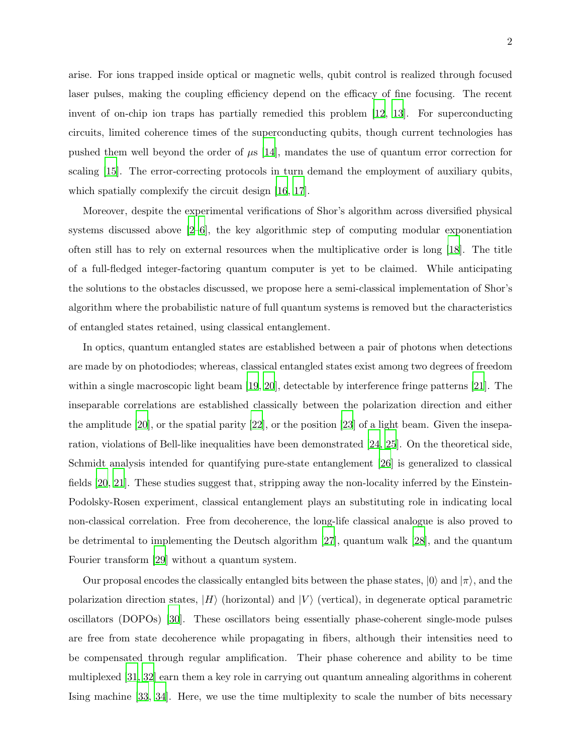arise. For ions trapped inside optical or magnetic wells, qubit control is realized through focused laser pulses, making the coupling efficiency depend on the efficacy of fine focusing. The recent invent of on-chip ion traps has partially remedied this problem [\[12,](#page-11-4) [13\]](#page-11-5). For superconducting circuits, limited coherence times of the superconducting qubits, though current technologies has pushed them well beyond the order of  $\mu$ s [\[14\]](#page-11-6), mandates the use of quantum error correction for scaling [\[15](#page-11-7)]. The error-correcting protocols in turn demand the employment of auxiliary qubits, which spatially complexify the circuit design [\[16](#page-11-8), [17\]](#page-11-9).

Moreover, despite the experimental verifications of Shor's algorithm across diversified physical systems discussed above [\[2](#page-10-1)[–6](#page-10-5)], the key algorithmic step of computing modular exponentiation often still has to rely on external resources when the multiplicative order is long [\[18\]](#page-11-10). The title of a full-fledged integer-factoring quantum computer is yet to be claimed. While anticipating the solutions to the obstacles discussed, we propose here a semi-classical implementation of Shor's algorithm where the probabilistic nature of full quantum systems is removed but the characteristics of entangled states retained, using classical entanglement.

In optics, quantum entangled states are established between a pair of photons when detections are made by on photodiodes; whereas, classical entangled states exist among two degrees of freedom within a single macroscopic light beam [\[19,](#page-11-11) [20](#page-11-12)], detectable by interference fringe patterns [\[21\]](#page-11-13). The inseparable correlations are established classically between the polarization direction and either the amplitude [\[20](#page-11-12)], or the spatial parity [\[22\]](#page-12-0), or the position [\[23\]](#page-12-1) of a light beam. Given the inseparation, violations of Bell-like inequalities have been demonstrated [\[24](#page-12-2), [25](#page-12-3)]. On the theoretical side, Schmidt analysis intended for quantifying pure-state entanglement [\[26\]](#page-12-4) is generalized to classical fields [\[20](#page-11-12), [21](#page-11-13)]. These studies suggest that, stripping away the non-locality inferred by the Einstein-Podolsky-Rosen experiment, classical entanglement plays an substituting role in indicating local non-classical correlation. Free from decoherence, the long-life classical analogue is also proved to be detrimental to implementing the Deutsch algorithm [\[27](#page-12-5)], quantum walk [\[28](#page-12-6)], and the quantum Fourier transform [\[29\]](#page-12-7) without a quantum system.

Our proposal encodes the classically entangled bits between the phase states,  $|0\rangle$  and  $|\pi\rangle$ , and the polarization direction states,  $|H\rangle$  (horizontal) and  $|V\rangle$  (vertical), in degenerate optical parametric oscillators (DOPOs) [\[30\]](#page-12-8). These oscillators being essentially phase-coherent single-mode pulses are free from state decoherence while propagating in fibers, although their intensities need to be compensated through regular amplification. Their phase coherence and ability to be time multiplexed [\[31](#page-12-9), [32](#page-12-10)] earn them a key role in carrying out quantum annealing algorithms in coherent Ising machine [33, [34](#page-12-11)]. Here, we use the time multiplexity to scale the number of bits necessary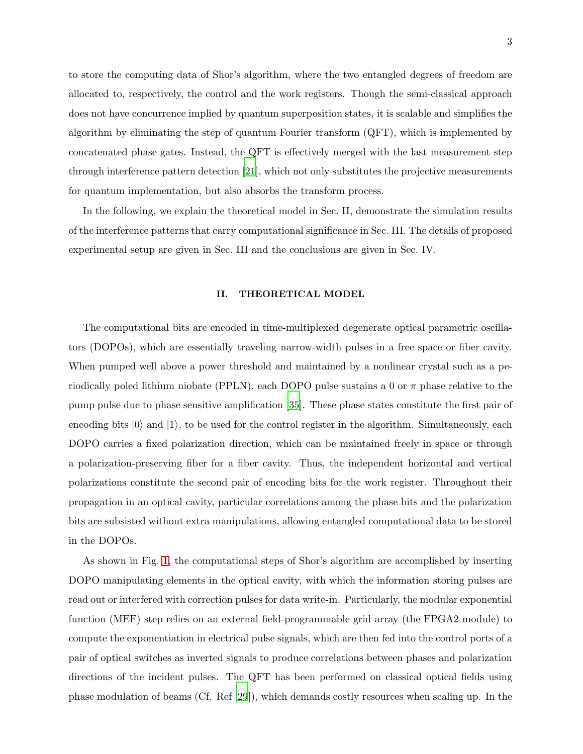to store the computing data of Shor's algorithm, where the two entangled degrees of freedom are allocated to, respectively, the control and the work registers. Though the semi-classical approach does not have concurrence implied by quantum superposition states, it is scalable and simplifies the algorithm by eliminating the step of quantum Fourier transform (QFT), which is implemented by concatenated phase gates. Instead, the QFT is effectively merged with the last measurement step through interference pattern detection [\[21](#page-11-13)], which not only substitutes the projective measurements for quantum implementation, but also absorbs the transform process.

In the following, we explain the theoretical model in Sec. II, demonstrate the simulation results of the interference patterns that carry computational significance in Sec. III. The details of proposed experimental setup are given in Sec. III and the conclusions are given in Sec. IV.

#### II. THEORETICAL MODEL

The computational bits are encoded in time-multiplexed degenerate optical parametric oscillators (DOPOs), which are essentially traveling narrow-width pulses in a free space or fiber cavity. When pumped well above a power threshold and maintained by a nonlinear crystal such as a periodically poled lithium niobate (PPLN), each DOPO pulse sustains a 0 or  $\pi$  phase relative to the pump pulse due to phase sensitive amplification [\[35\]](#page-12-12). These phase states constitute the first pair of encoding bits  $|0\rangle$  and  $|1\rangle$ , to be used for the control register in the algorithm. Simultaneously, each DOPO carries a fixed polarization direction, which can be maintained freely in space or through a polarization-preserving fiber for a fiber cavity. Thus, the independent horizontal and vertical polarizations constitute the second pair of encoding bits for the work register. Throughout their propagation in an optical cavity, particular correlations among the phase bits and the polarization bits are subsisted without extra manipulations, allowing entangled computational data to be stored in the DOPOs.

As shown in Fig. [1,](#page-3-0) the computational steps of Shor's algorithm are accomplished by inserting DOPO manipulating elements in the optical cavity, with which the information storing pulses are read out or interfered with correction pulses for data write-in. Particularly, the modular exponential function (MEF) step relies on an external field-programmable grid array (the FPGA2 module) to compute the exponentiation in electrical pulse signals, which are then fed into the control ports of a pair of optical switches as inverted signals to produce correlations between phases and polarization directions of the incident pulses. The QFT has been performed on classical optical fields using phase modulation of beams (Cf. Ref [\[29\]](#page-12-7)), which demands costly resources when scaling up. In the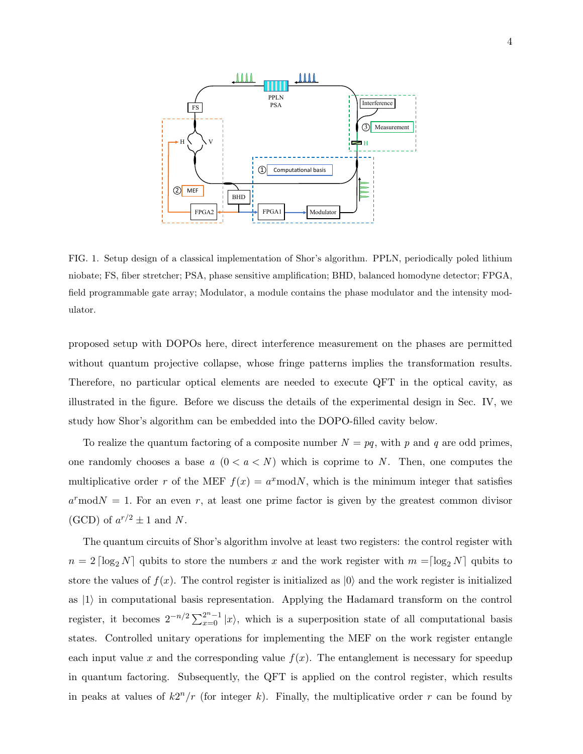

<span id="page-3-0"></span>FIG. 1. Setup design of a classical implementation of Shor's algorithm. PPLN, periodically poled lithium niobate; FS, fiber stretcher; PSA, phase sensitive amplification; BHD, balanced homodyne detector; FPGA, field programmable gate array; Modulator, a module contains the phase modulator and the intensity modulator.

proposed setup with DOPOs here, direct interference measurement on the phases are permitted without quantum projective collapse, whose fringe patterns implies the transformation results. Therefore, no particular optical elements are needed to execute QFT in the optical cavity, as illustrated in the figure. Before we discuss the details of the experimental design in Sec. IV, we study how Shor's algorithm can be embedded into the DOPO-filled cavity below.

To realize the quantum factoring of a composite number  $N = pq$ , with p and q are odd primes, one randomly chooses a base  $a(0 < a < N)$  which is coprime to N. Then, one computes the multiplicative order r of the MEF  $f(x) = a^x \text{mod} N$ , which is the minimum integer that satisfies  $a^r$  mod $N = 1$ . For an even r, at least one prime factor is given by the greatest common divisor (GCD) of  $a^{r/2} \pm 1$  and N.

The quantum circuits of Shor's algorithm involve at least two registers: the control register with  $n = 2 \lceil \log_2 N \rceil$  qubits to store the numbers x and the work register with  $m = \lceil \log_2 N \rceil$  qubits to store the values of  $f(x)$ . The control register is initialized as  $|0\rangle$  and the work register is initialized as  $|1\rangle$  in computational basis representation. Applying the Hadamard transform on the control register, it becomes  $2^{-n/2} \sum_{x=0}^{2^n-1} |x\rangle$ , which is a superposition state of all computational basis states. Controlled unitary operations for implementing the MEF on the work register entangle each input value x and the corresponding value  $f(x)$ . The entanglement is necessary for speedup in quantum factoring. Subsequently, the QFT is applied on the control register, which results in peaks at values of  $k2^n/r$  (for integer k). Finally, the multiplicative order r can be found by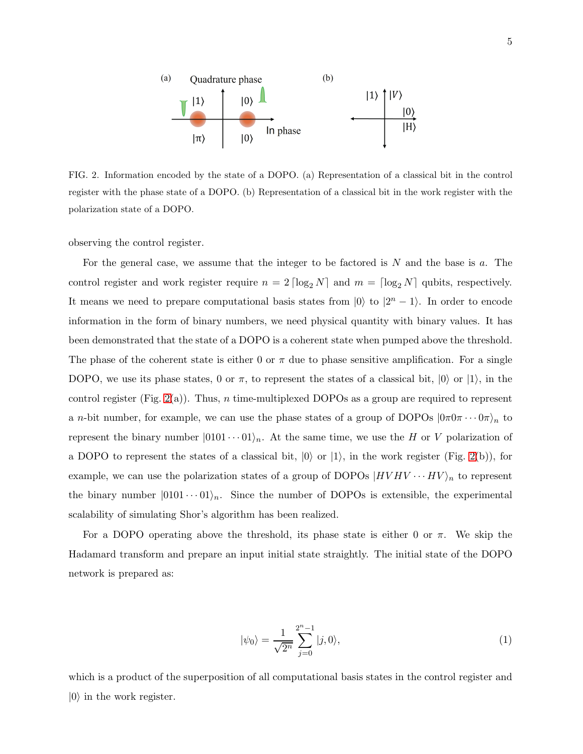

<span id="page-4-0"></span>FIG. 2. Information encoded by the state of a DOPO. (a) Representation of a classical bit in the control register with the phase state of a DOPO. (b) Representation of a classical bit in the work register with the polarization state of a DOPO.

observing the control register.

For the general case, we assume that the integer to be factored is  $N$  and the base is  $a$ . The control register and work register require  $n = 2 \lceil \log_2 N \rceil$  and  $m = \lceil \log_2 N \rceil$  qubits, respectively. It means we need to prepare computational basis states from  $|0\rangle$  to  $|2^{n} - 1\rangle$ . In order to encode information in the form of binary numbers, we need physical quantity with binary values. It has been demonstrated that the state of a DOPO is a coherent state when pumped above the threshold. The phase of the coherent state is either 0 or  $\pi$  due to phase sensitive amplification. For a single DOPO, we use its phase states, 0 or  $\pi$ , to represent the states of a classical bit,  $|0\rangle$  or  $|1\rangle$ , in the control register (Fig. [2\(](#page-4-0)a)). Thus, n time-multiplexed DOPOs as a group are required to represent a *n*-bit number, for example, we can use the phase states of a group of DOPOs  $(0\pi 0\pi \cdots 0\pi)_n$  to represent the binary number  $|0101 \cdots 01\rangle_n$ . At the same time, we use the H or V polarization of a DOPO to represent the states of a classical bit,  $|0\rangle$  or  $|1\rangle$ , in the work register (Fig. [2\(](#page-4-0)b)), for example, we can use the polarization states of a group of DOPOs  $|HVHV\cdots HV\rangle_n$  to represent the binary number  $|0101 \cdots 01\rangle_n$ . Since the number of DOPOs is extensible, the experimental scalability of simulating Shor's algorithm has been realized.

For a DOPO operating above the threshold, its phase state is either 0 or  $\pi$ . We skip the Hadamard transform and prepare an input initial state straightly. The initial state of the DOPO network is prepared as:

$$
|\psi_0\rangle = \frac{1}{\sqrt{2^n}} \sum_{j=0}^{2^n - 1} |j, 0\rangle,\tag{1}
$$

which is a product of the superposition of all computational basis states in the control register and  $|0\rangle$  in the work register.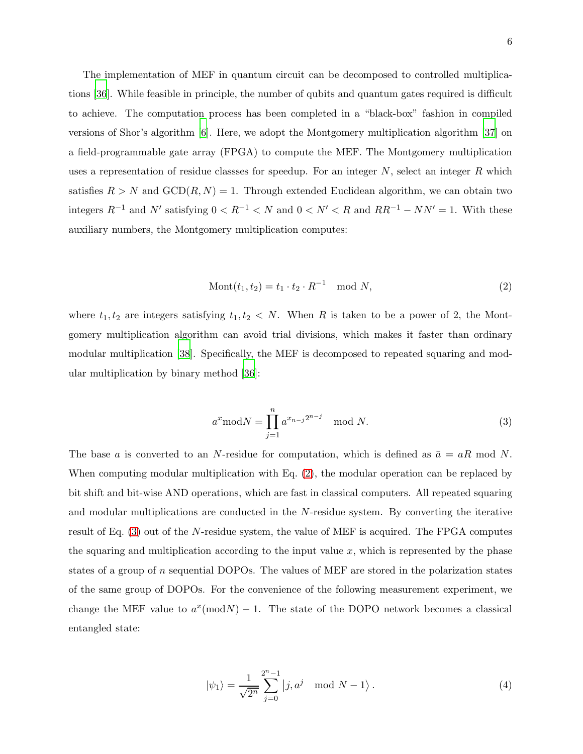The implementation of MEF in quantum circuit can be decomposed to controlled multiplications [\[36](#page-12-13)]. While feasible in principle, the number of qubits and quantum gates required is difficult to achieve. The computation process has been completed in a "black-box" fashion in compiled versions of Shor's algorithm [\[6\]](#page-10-5). Here, we adopt the Montgomery multiplication algorithm [\[37](#page-12-14)] on a field-programmable gate array (FPGA) to compute the MEF. The Montgomery multiplication uses a representation of residue classes for speedup. For an integer  $N$ , select an integer  $R$  which satisfies  $R > N$  and  $GCD(R, N) = 1$ . Through extended Euclidean algorithm, we can obtain two integers  $R^{-1}$  and  $N'$  satisfying  $0 < R^{-1} < N$  and  $0 < N' < R$  and  $RR^{-1} - NN' = 1$ . With these auxiliary numbers, the Montgomery multiplication computes:

<span id="page-5-0"></span>
$$
Mont(t_1, t_2) = t_1 \cdot t_2 \cdot R^{-1} \mod N,
$$
\n(2)

where  $t_1, t_2$  are integers satisfying  $t_1, t_2 < N$ . When R is taken to be a power of 2, the Montgomery multiplication algorithm can avoid trial divisions, which makes it faster than ordinary modular multiplication [\[38](#page-12-15)]. Specifically, the MEF is decomposed to repeated squaring and modular multiplication by binary method [\[36](#page-12-13)]:

<span id="page-5-1"></span>
$$
a^x \mod N = \prod_{j=1}^n a^{x_{n-j}2^{n-j}} \mod N.
$$
 (3)

The base a is converted to an N-residue for computation, which is defined as  $\bar{a} = aR \mod N$ . When computing modular multiplication with Eq.  $(2)$ , the modular operation can be replaced by bit shift and bit-wise AND operations, which are fast in classical computers. All repeated squaring and modular multiplications are conducted in the N-residue system. By converting the iterative result of Eq. [\(3\)](#page-5-1) out of the N-residue system, the value of MEF is acquired. The FPGA computes the squaring and multiplication according to the input value  $x$ , which is represented by the phase states of a group of n sequential DOPOs. The values of MEF are stored in the polarization states of the same group of DOPOs. For the convenience of the following measurement experiment, we change the MEF value to  $a^x \pmod{N} - 1$ . The state of the DOPO network becomes a classical entangled state:

$$
|\psi_1\rangle = \frac{1}{\sqrt{2^n}} \sum_{j=0}^{2^n - 1} |j, a^j \mod N - 1\rangle.
$$
 (4)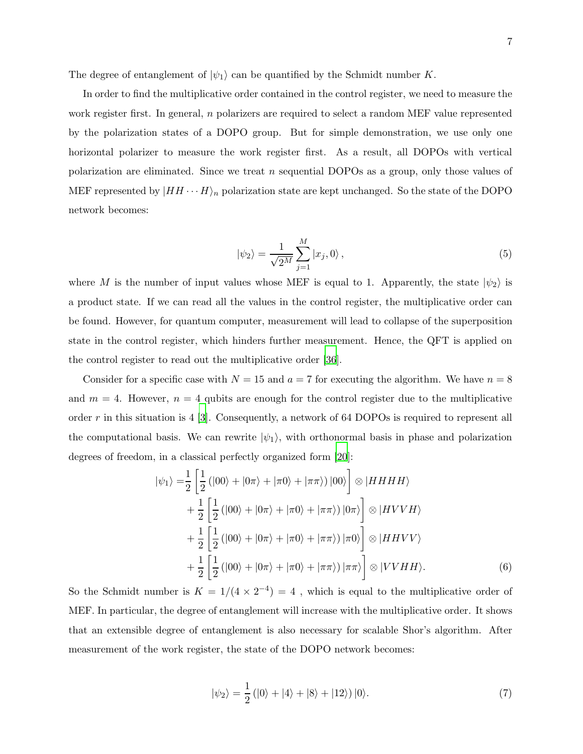The degree of entanglement of  $|\psi_1\rangle$  can be quantified by the Schmidt number K.

In order to find the multiplicative order contained in the control register, we need to measure the work register first. In general,  $n$  polarizers are required to select a random MEF value represented by the polarization states of a DOPO group. But for simple demonstration, we use only one horizontal polarizer to measure the work register first. As a result, all DOPOs with vertical polarization are eliminated. Since we treat n sequential DOPOs as a group, only those values of MEF represented by  $|HH \cdots H\rangle_n$  polarization state are kept unchanged. So the state of the DOPO network becomes:

$$
|\psi_2\rangle = \frac{1}{\sqrt{2^M}} \sum_{j=1}^M |x_j, 0\rangle \,, \tag{5}
$$

where M is the number of input values whose MEF is equal to 1. Apparently, the state  $|\psi_2\rangle$  is a product state. If we can read all the values in the control register, the multiplicative order can be found. However, for quantum computer, measurement will lead to collapse of the superposition state in the control register, which hinders further measurement. Hence, the QFT is applied on the control register to read out the multiplicative order [\[36](#page-12-13)].

Consider for a specific case with  $N = 15$  and  $a = 7$  for executing the algorithm. We have  $n = 8$ and  $m = 4$ . However,  $n = 4$  qubits are enough for the control register due to the multiplicative order  $r$  in this situation is 4 [\[3\]](#page-10-2). Consequently, a network of 64 DOPOs is required to represent all the computational basis. We can rewrite  $|\psi_1\rangle$ , with orthonormal basis in phase and polarization degrees of freedom, in a classical perfectly organized form [\[20](#page-11-12)]:

$$
|\psi_1\rangle = \frac{1}{2} \left[ \frac{1}{2} (|00\rangle + |0\pi\rangle + |\pi 0\rangle + |\pi \pi\rangle) |00\rangle \right] \otimes |HHHH\rangle + \frac{1}{2} \left[ \frac{1}{2} (|00\rangle + |0\pi\rangle + |\pi 0\rangle + |\pi \pi\rangle) |0\pi\rangle \right] \otimes |HVVH\rangle + \frac{1}{2} \left[ \frac{1}{2} (|00\rangle + |0\pi\rangle + |\pi 0\rangle + |\pi \pi\rangle) |\pi 0\rangle \right] \otimes |HHVV\rangle + \frac{1}{2} \left[ \frac{1}{2} (|00\rangle + |0\pi\rangle + |\pi 0\rangle + |\pi \pi\rangle) |\pi \pi\rangle \right] \otimes |VVHH\rangle.
$$
 (6)

So the Schmidt number is  $K = 1/(4 \times 2^{-4}) = 4$ , which is equal to the multiplicative order of MEF. In particular, the degree of entanglement will increase with the multiplicative order. It shows that an extensible degree of entanglement is also necessary for scalable Shor's algorithm. After measurement of the work register, the state of the DOPO network becomes:

$$
|\psi_2\rangle = \frac{1}{2} (|0\rangle + |4\rangle + |8\rangle + |12\rangle) |0\rangle.
$$
 (7)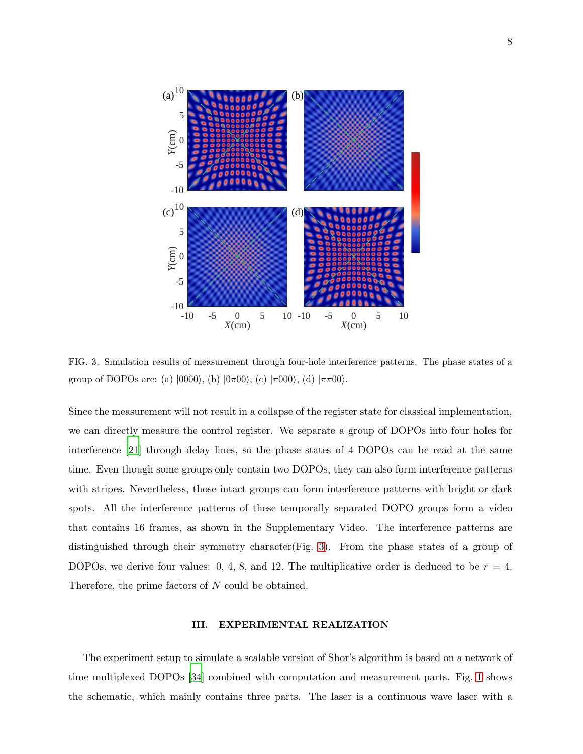

<span id="page-7-0"></span>FIG. 3. Simulation results of measurement through four-hole interference patterns. The phase states of a group of DOPOs are: (a)  $|0000\rangle$ , (b)  $|\theta \pi 00\rangle$ , (c)  $|\pi 000\rangle$ , (d)  $|\pi \pi 00\rangle$ .

Since the measurement will not result in a collapse of the register state for classical implementation, we can directly measure the control register. We separate a group of DOPOs into four holes for interference [\[21\]](#page-11-13) through delay lines, so the phase states of 4 DOPOs can be read at the same time. Even though some groups only contain two DOPOs, they can also form interference patterns with stripes. Nevertheless, those intact groups can form interference patterns with bright or dark spots. All the interference patterns of these temporally separated DOPO groups form a video that contains 16 frames, as shown in the Supplementary Video. The interference patterns are distinguished through their symmetry character(Fig. [3\)](#page-7-0). From the phase states of a group of DOPOs, we derive four values: 0, 4, 8, and 12. The multiplicative order is deduced to be  $r = 4$ . Therefore, the prime factors of N could be obtained.

## III. EXPERIMENTAL REALIZATION

The experiment setup to simulate a scalable version of Shor's algorithm is based on a network of time multiplexed DOPOs [\[34\]](#page-12-11) combined with computation and measurement parts. Fig. [1](#page-3-0) shows the schematic, which mainly contains three parts. The laser is a continuous wave laser with a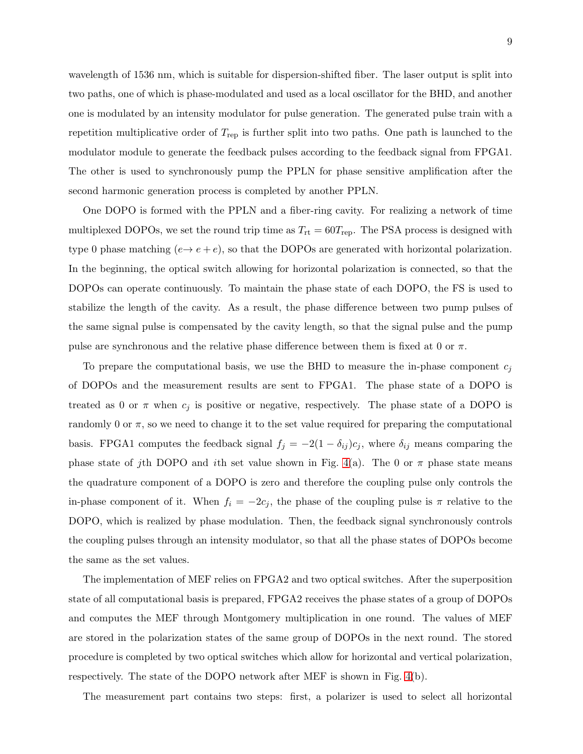wavelength of 1536 nm, which is suitable for dispersion-shifted fiber. The laser output is split into two paths, one of which is phase-modulated and used as a local oscillator for the BHD, and another one is modulated by an intensity modulator for pulse generation. The generated pulse train with a repetition multiplicative order of  $T_{\text{rep}}$  is further split into two paths. One path is launched to the modulator module to generate the feedback pulses according to the feedback signal from FPGA1. The other is used to synchronously pump the PPLN for phase sensitive amplification after the second harmonic generation process is completed by another PPLN.

One DOPO is formed with the PPLN and a fiber-ring cavity. For realizing a network of time multiplexed DOPOs, we set the round trip time as  $T_{\rm rt} = 60T_{\rm rep}$ . The PSA process is designed with type 0 phase matching  $(e \rightarrow e + e)$ , so that the DOPOs are generated with horizontal polarization. In the beginning, the optical switch allowing for horizontal polarization is connected, so that the DOPOs can operate continuously. To maintain the phase state of each DOPO, the FS is used to stabilize the length of the cavity. As a result, the phase difference between two pump pulses of the same signal pulse is compensated by the cavity length, so that the signal pulse and the pump pulse are synchronous and the relative phase difference between them is fixed at 0 or  $\pi$ .

To prepare the computational basis, we use the BHD to measure the in-phase component  $c_i$ of DOPOs and the measurement results are sent to FPGA1. The phase state of a DOPO is treated as 0 or  $\pi$  when  $c_j$  is positive or negative, respectively. The phase state of a DOPO is randomly 0 or  $\pi$ , so we need to change it to the set value required for preparing the computational basis. FPGA1 computes the feedback signal  $f_j = -2(1 - \delta_{ij})c_j$ , where  $\delta_{ij}$  means comparing the phase state of jth DOPO and ith set value shown in Fig. [4\(](#page-9-0)a). The 0 or  $\pi$  phase state means the quadrature component of a DOPO is zero and therefore the coupling pulse only controls the in-phase component of it. When  $f_i = -2c_j$ , the phase of the coupling pulse is  $\pi$  relative to the DOPO, which is realized by phase modulation. Then, the feedback signal synchronously controls the coupling pulses through an intensity modulator, so that all the phase states of DOPOs become the same as the set values.

The implementation of MEF relies on FPGA2 and two optical switches. After the superposition state of all computational basis is prepared, FPGA2 receives the phase states of a group of DOPOs and computes the MEF through Montgomery multiplication in one round. The values of MEF are stored in the polarization states of the same group of DOPOs in the next round. The stored procedure is completed by two optical switches which allow for horizontal and vertical polarization, respectively. The state of the DOPO network after MEF is shown in Fig. [4\(](#page-9-0)b).

The measurement part contains two steps: first, a polarizer is used to select all horizontal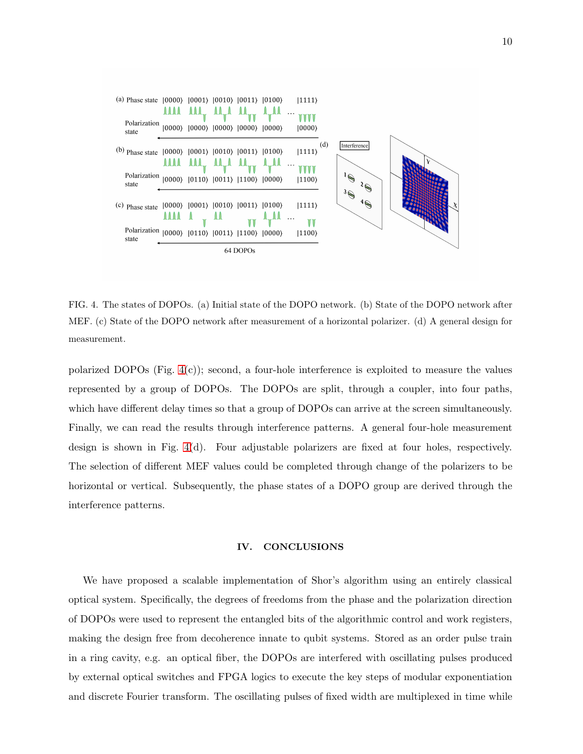

<span id="page-9-0"></span>FIG. 4. The states of DOPOs. (a) Initial state of the DOPO network. (b) State of the DOPO network after MEF. (c) State of the DOPO network after measurement of a horizontal polarizer. (d) A general design for measurement.

polarized DOPOs (Fig. [4\(](#page-9-0)c)); second, a four-hole interference is exploited to measure the values represented by a group of DOPOs. The DOPOs are split, through a coupler, into four paths, which have different delay times so that a group of DOPOs can arrive at the screen simultaneously. Finally, we can read the results through interference patterns. A general four-hole measurement design is shown in Fig. [4\(](#page-9-0)d). Four adjustable polarizers are fixed at four holes, respectively. The selection of different MEF values could be completed through change of the polarizers to be horizontal or vertical. Subsequently, the phase states of a DOPO group are derived through the interference patterns.

### IV. CONCLUSIONS

We have proposed a scalable implementation of Shor's algorithm using an entirely classical optical system. Specifically, the degrees of freedoms from the phase and the polarization direction of DOPOs were used to represent the entangled bits of the algorithmic control and work registers, making the design free from decoherence innate to qubit systems. Stored as an order pulse train in a ring cavity, e.g. an optical fiber, the DOPOs are interfered with oscillating pulses produced by external optical switches and FPGA logics to execute the key steps of modular exponentiation and discrete Fourier transform. The oscillating pulses of fixed width are multiplexed in time while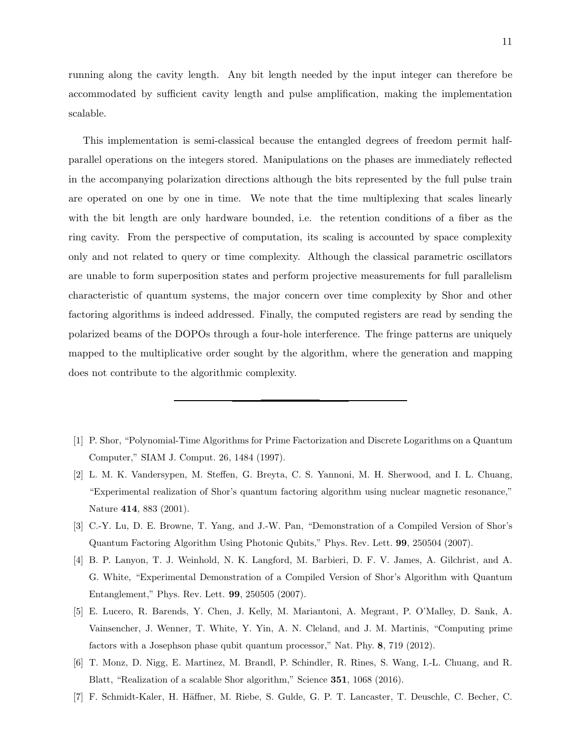running along the cavity length. Any bit length needed by the input integer can therefore be accommodated by sufficient cavity length and pulse amplification, making the implementation scalable.

This implementation is semi-classical because the entangled degrees of freedom permit halfparallel operations on the integers stored. Manipulations on the phases are immediately reflected in the accompanying polarization directions although the bits represented by the full pulse train are operated on one by one in time. We note that the time multiplexing that scales linearly with the bit length are only hardware bounded, i.e. the retention conditions of a fiber as the ring cavity. From the perspective of computation, its scaling is accounted by space complexity only and not related to query or time complexity. Although the classical parametric oscillators are unable to form superposition states and perform projective measurements for full parallelism characteristic of quantum systems, the major concern over time complexity by Shor and other factoring algorithms is indeed addressed. Finally, the computed registers are read by sending the polarized beams of the DOPOs through a four-hole interference. The fringe patterns are uniquely mapped to the multiplicative order sought by the algorithm, where the generation and mapping does not contribute to the algorithmic complexity.

- <span id="page-10-0"></span>[1] P. Shor, "Polynomial-Time Algorithms for Prime Factorization and Discrete Logarithms on a Quantum Computer," SIAM J. Comput. 26, 1484 (1997).
- <span id="page-10-1"></span>[2] L. M. K. Vandersypen, M. Steffen, G. Breyta, C. S. Yannoni, M. H. Sherwood, and I. L. Chuang, "Experimental realization of Shor's quantum factoring algorithm using nuclear magnetic resonance," Nature 414, 883 (2001).
- <span id="page-10-2"></span>[3] C.-Y. Lu, D. E. Browne, T. Yang, and J.-W. Pan, "Demonstration of a Compiled Version of Shor's Quantum Factoring Algorithm Using Photonic Qubits," Phys. Rev. Lett. 99, 250504 (2007).
- <span id="page-10-3"></span>[4] B. P. Lanyon, T. J. Weinhold, N. K. Langford, M. Barbieri, D. F. V. James, A. Gilchrist, and A. G. White, "Experimental Demonstration of a Compiled Version of Shor's Algorithm with Quantum Entanglement," Phys. Rev. Lett. 99, 250505 (2007).
- <span id="page-10-4"></span>[5] E. Lucero, R. Barends, Y. Chen, J. Kelly, M. Mariantoni, A. Megrant, P. O'Malley, D. Sank, A. Vainsencher, J. Wenner, T. White, Y. Yin, A. N. Cleland, and J. M. Martinis, "Computing prime factors with a Josephson phase qubit quantum processor," Nat. Phy. 8, 719 (2012).
- <span id="page-10-5"></span>[6] T. Monz, D. Nigg, E. Martinez, M. Brandl, P. Schindler, R. Rines, S. Wang, I.-L. Chuang, and R. Blatt, "Realization of a scalable Shor algorithm," Science 351, 1068 (2016).
- <span id="page-10-6"></span>[7] F. Schmidt-Kaler, H. H¨affner, M. Riebe, S. Gulde, G. P. T. Lancaster, T. Deuschle, C. Becher, C.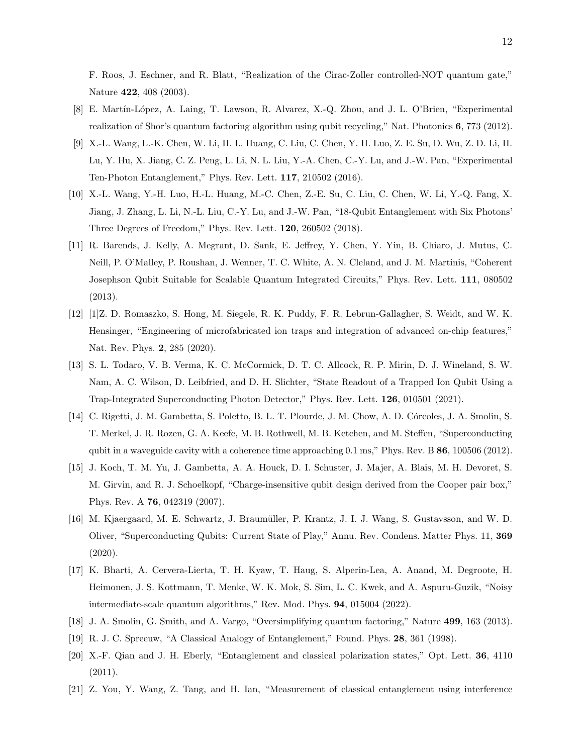F. Roos, J. Eschner, and R. Blatt, "Realization of the Cirac-Zoller controlled-NOT quantum gate," Nature 422, 408 (2003).

- <span id="page-11-0"></span>[8] E. Martín-López, A. Laing, T. Lawson, R. Alvarez, X.-Q. Zhou, and J. L. O'Brien, "Experimental" realization of Shor's quantum factoring algorithm using qubit recycling," Nat. Photonics 6, 773 (2012).
- <span id="page-11-1"></span>[9] X.-L. Wang, L.-K. Chen, W. Li, H. L. Huang, C. Liu, C. Chen, Y. H. Luo, Z. E. Su, D. Wu, Z. D. Li, H. Lu, Y. Hu, X. Jiang, C. Z. Peng, L. Li, N. L. Liu, Y.-A. Chen, C.-Y. Lu, and J.-W. Pan, "Experimental Ten-Photon Entanglement," Phys. Rev. Lett. 117, 210502 (2016).
- <span id="page-11-2"></span>[10] X.-L. Wang, Y.-H. Luo, H.-L. Huang, M.-C. Chen, Z.-E. Su, C. Liu, C. Chen, W. Li, Y.-Q. Fang, X. Jiang, J. Zhang, L. Li, N.-L. Liu, C.-Y. Lu, and J.-W. Pan, "18-Qubit Entanglement with Six Photons' Three Degrees of Freedom," Phys. Rev. Lett. 120, 260502 (2018).
- <span id="page-11-3"></span>[11] R. Barends, J. Kelly, A. Megrant, D. Sank, E. Jeffrey, Y. Chen, Y. Yin, B. Chiaro, J. Mutus, C. Neill, P. O'Malley, P. Roushan, J. Wenner, T. C. White, A. N. Cleland, and J. M. Martinis, "Coherent Josephson Qubit Suitable for Scalable Quantum Integrated Circuits," Phys. Rev. Lett. 111, 080502 (2013).
- <span id="page-11-4"></span>[12] [1]Z. D. Romaszko, S. Hong, M. Siegele, R. K. Puddy, F. R. Lebrun-Gallagher, S. Weidt, and W. K. Hensinger, "Engineering of microfabricated ion traps and integration of advanced on-chip features," Nat. Rev. Phys. 2, 285 (2020).
- <span id="page-11-5"></span>[13] S. L. Todaro, V. B. Verma, K. C. McCormick, D. T. C. Allcock, R. P. Mirin, D. J. Wineland, S. W. Nam, A. C. Wilson, D. Leibfried, and D. H. Slichter, "State Readout of a Trapped Ion Qubit Using a Trap-Integrated Superconducting Photon Detector," Phys. Rev. Lett. 126, 010501 (2021).
- <span id="page-11-6"></span>[14] C. Rigetti, J. M. Gambetta, S. Poletto, B. L. T. Plourde, J. M. Chow, A. D. C´orcoles, J. A. Smolin, S. T. Merkel, J. R. Rozen, G. A. Keefe, M. B. Rothwell, M. B. Ketchen, and M. Steffen, "Superconducting qubit in a waveguide cavity with a coherence time approaching 0.1 ms," Phys. Rev. B 86, 100506 (2012).
- <span id="page-11-7"></span>[15] J. Koch, T. M. Yu, J. Gambetta, A. A. Houck, D. I. Schuster, J. Majer, A. Blais, M. H. Devoret, S. M. Girvin, and R. J. Schoelkopf, "Charge-insensitive qubit design derived from the Cooper pair box," Phys. Rev. A 76, 042319 (2007).
- <span id="page-11-8"></span>[16] M. Kjaergaard, M. E. Schwartz, J. Braumüller, P. Krantz, J. I. J. Wang, S. Gustavsson, and W. D. Oliver, "Superconducting Qubits: Current State of Play," Annu. Rev. Condens. Matter Phys. 11, 369 (2020).
- <span id="page-11-9"></span>[17] K. Bharti, A. Cervera-Lierta, T. H. Kyaw, T. Haug, S. Alperin-Lea, A. Anand, M. Degroote, H. Heimonen, J. S. Kottmann, T. Menke, W. K. Mok, S. Sim, L. C. Kwek, and A. Aspuru-Guzik, "Noisy intermediate-scale quantum algorithms," Rev. Mod. Phys. 94, 015004 (2022).
- <span id="page-11-10"></span>[18] J. A. Smolin, G. Smith, and A. Vargo, "Oversimplifying quantum factoring," Nature 499, 163 (2013).
- <span id="page-11-11"></span>[19] R. J. C. Spreeuw, "A Classical Analogy of Entanglement," Found. Phys. 28, 361 (1998).
- <span id="page-11-12"></span>[20] X.-F. Qian and J. H. Eberly, "Entanglement and classical polarization states," Opt. Lett. 36, 4110  $(2011).$
- <span id="page-11-13"></span>[21] Z. You, Y. Wang, Z. Tang, and H. Ian, "Measurement of classical entanglement using interference